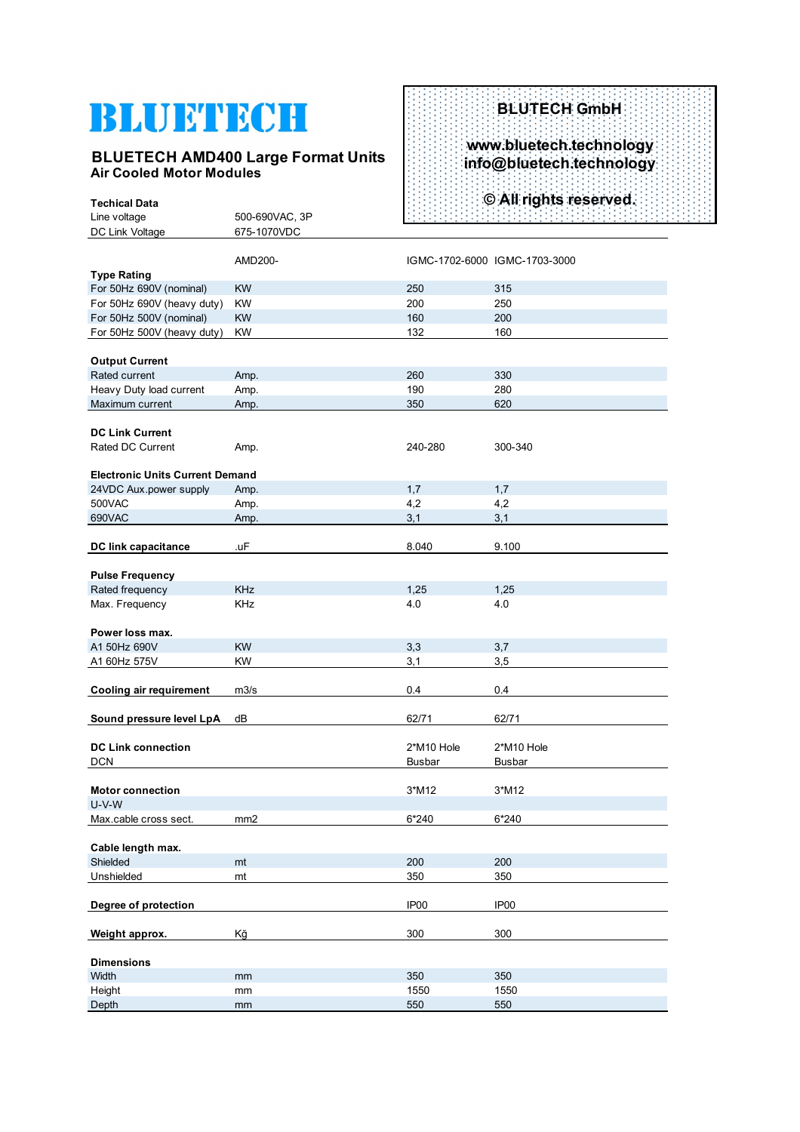# BLUETECH

**Techical Data** 

#### **BLUETECH AMD400 Large Format Units Air Cooled Motor Modules**

### **BLUTECH GmbH www.bluetech.technology info@bluetech.technology © All rights reserved.**

| Technoal Dala<br>Line voltage          | 500-690VAC, 3P  |                  |                               |
|----------------------------------------|-----------------|------------------|-------------------------------|
|                                        |                 |                  |                               |
| DC Link Voltage                        | 675-1070VDC     |                  |                               |
|                                        | AMD200-         |                  | IGMC-1702-6000 IGMC-1703-3000 |
| <b>Type Rating</b>                     |                 |                  |                               |
| For 50Hz 690V (nominal)                | <b>KW</b>       | 250              | 315                           |
| For 50Hz 690V (heavy duty)             | KW              | 200              | 250                           |
| For 50Hz 500V (nominal)                | <b>KW</b>       | 160              | 200                           |
|                                        |                 |                  |                               |
| For 50Hz 500V (heavy duty)             | <b>KW</b>       | 132              | 160                           |
|                                        |                 |                  |                               |
| <b>Output Current</b>                  |                 |                  |                               |
| Rated current                          | Amp.            | 260              | 330                           |
| Heavy Duty load current                | Amp.            | 190              | 280                           |
| Maximum current                        | Amp.            | 350              | 620                           |
|                                        |                 |                  |                               |
| <b>DC Link Current</b>                 |                 |                  |                               |
| Rated DC Current                       | Amp.            | 240-280          | 300-340                       |
|                                        |                 |                  |                               |
| <b>Electronic Units Current Demand</b> |                 |                  |                               |
| 24VDC Aux.power supply                 | Amp.            | 1,7              | 1,7                           |
| 500VAC                                 | Amp.            | 4,2              | 4,2                           |
| 690VAC                                 | Amp.            | 3,1              | 3,1                           |
|                                        |                 |                  |                               |
| <b>DC link capacitance</b>             | .uF             | 8.040            | 9.100                         |
|                                        |                 |                  |                               |
| <b>Pulse Frequency</b>                 |                 |                  |                               |
| Rated frequency                        | <b>KHz</b>      | 1,25             | 1,25                          |
| Max. Frequency                         | KHz             | 4.0              | 4.0                           |
|                                        |                 |                  |                               |
| Power loss max.                        |                 |                  |                               |
| A1 50Hz 690V                           | <b>KW</b>       | 3,3              | 3,7                           |
| A1 60Hz 575V                           | <b>KW</b>       | 3,1              | 3,5                           |
|                                        |                 |                  |                               |
| <b>Cooling air requirement</b>         | m3/s            | 0.4              | 0.4                           |
|                                        |                 |                  |                               |
| Sound pressure level LpA               | dB              | 62/71            | 62/71                         |
|                                        |                 |                  |                               |
| <b>DC Link connection</b>              |                 | 2*M10 Hole       | 2*M10 Hole                    |
| <b>DCN</b>                             |                 | <b>Busbar</b>    | <b>Busbar</b>                 |
|                                        |                 |                  |                               |
| <b>Motor connection</b>                |                 | 3*M12            | 3*M12                         |
| $U-V-W$                                |                 |                  |                               |
| Max.cable cross sect.                  | mm <sub>2</sub> | 6*240            | $6*240$                       |
|                                        |                 |                  |                               |
| Cable length max.                      |                 |                  |                               |
| Shielded                               | mt              | 200              | 200                           |
| Unshielded                             | mt              | 350              | 350                           |
|                                        |                 |                  |                               |
| Degree of protection                   |                 | IP <sub>00</sub> | IP <sub>00</sub>              |
|                                        |                 |                  |                               |
| Weight approx.                         | Kğ              | 300              | 300                           |
|                                        |                 |                  |                               |
| <b>Dimensions</b>                      |                 |                  |                               |
| Width                                  | mm              | 350              | 350                           |
| Height                                 | mm              | 1550             | 1550                          |
| Depth                                  | mm              | 550              | 550                           |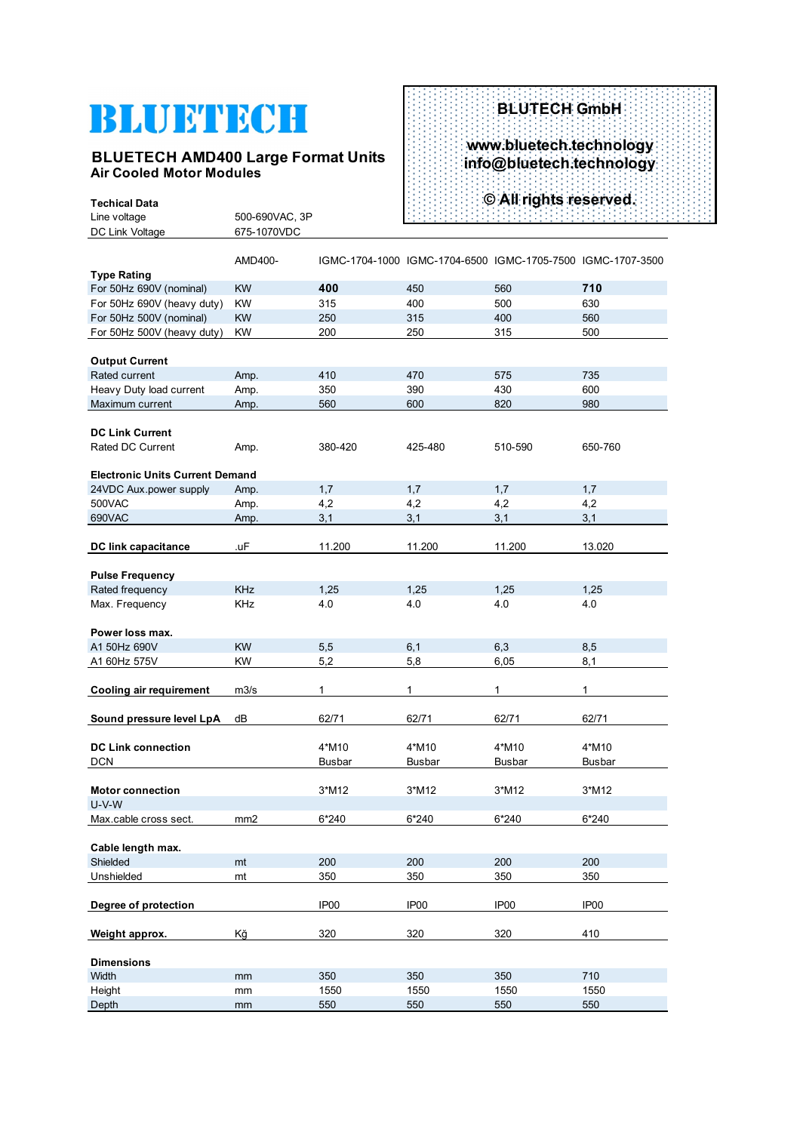## BLUFTECH

**Techical Data** 

#### **BLUETECH AMD400 Large Format Units Air Cooled Motor Modules**

### **BLUTECH GmbH www.bluetech.technology info@bluetech.technology © All rights reserved.**

| Line voltage                           | 500-690VAC, 3P  |                  |                                                             |                  |                  |
|----------------------------------------|-----------------|------------------|-------------------------------------------------------------|------------------|------------------|
| DC Link Voltage                        | 675-1070VDC     |                  |                                                             |                  |                  |
| <b>Type Rating</b>                     | AMD400-         |                  | IGMC-1704-1000 IGMC-1704-6500 IGMC-1705-7500 IGMC-1707-3500 |                  |                  |
| For 50Hz 690V (nominal)                | <b>KW</b>       | 400              | 450                                                         | 560              | 710              |
| For 50Hz 690V (heavy duty)             | <b>KW</b>       | 315              | 400                                                         | 500              | 630              |
| For 50Hz 500V (nominal)                | <b>KW</b>       | 250              | 315                                                         | 400              | 560              |
| For 50Hz 500V (heavy duty)             | KW              | 200              | 250                                                         | 315              | 500              |
|                                        |                 |                  |                                                             |                  |                  |
| <b>Output Current</b>                  |                 |                  |                                                             |                  |                  |
| Rated current                          | Amp.            | 410              | 470                                                         | 575              | 735              |
| Heavy Duty load current                | Amp.            | 350              | 390                                                         | 430              | 600              |
| Maximum current                        | Amp.            | 560              | 600                                                         | 820              | 980              |
|                                        |                 |                  |                                                             |                  |                  |
| <b>DC Link Current</b>                 |                 |                  |                                                             |                  |                  |
| Rated DC Current                       | Amp.            | 380-420          | 425-480                                                     | 510-590          | 650-760          |
|                                        |                 |                  |                                                             |                  |                  |
| <b>Electronic Units Current Demand</b> |                 |                  |                                                             |                  |                  |
| 24VDC Aux.power supply                 | Amp.            | 1,7              | 1,7                                                         | 1,7              | 1,7              |
| 500VAC                                 | Amp.            | 4,2              | 4,2                                                         | 4,2              | 4,2              |
| 690VAC                                 | Amp.            | 3,1              | 3,1                                                         | 3,1              | 3,1              |
|                                        |                 |                  |                                                             |                  |                  |
| DC link capacitance                    | .uF             | 11.200           | 11.200                                                      | 11.200           | 13.020           |
| <b>Pulse Frequency</b>                 |                 |                  |                                                             |                  |                  |
| Rated frequency                        | <b>KHz</b>      | 1,25             | 1,25                                                        | 1,25             | 1,25             |
| Max. Frequency                         | KHz             | 4.0              | 4.0                                                         | 4.0              | 4.0              |
|                                        |                 |                  |                                                             |                  |                  |
| Power loss max.                        |                 |                  |                                                             |                  |                  |
| A1 50Hz 690V                           | <b>KW</b>       | 5,5              | 6,1                                                         | 6,3              | 8,5              |
| A1 60Hz 575V                           | <b>KW</b>       | 5,2              | 5,8                                                         | 6,05             | 8,1              |
|                                        |                 |                  |                                                             |                  |                  |
| <b>Cooling air requirement</b>         | m3/s            | 1                | 1                                                           | 1                | 1                |
|                                        |                 |                  |                                                             |                  |                  |
| Sound pressure level LpA               | dB              | 62/71            | 62/71                                                       | 62/71            | 62/71            |
|                                        |                 |                  |                                                             |                  |                  |
| <b>DC Link connection</b>              |                 | 4*M10            | 4*M10                                                       | 4*M10            | 4*M10            |
| <b>DCN</b>                             |                 | <b>Busbar</b>    | Busbar                                                      | <b>Busbar</b>    | <b>Busbar</b>    |
|                                        |                 |                  |                                                             |                  |                  |
| <b>Motor connection</b>                |                 | 3*M12            | 3*M12                                                       | 3*M12            | 3*M12            |
| $U-V-W$                                |                 |                  |                                                             |                  |                  |
| Max.cable cross sect.                  | mm <sub>2</sub> | 6*240            | 6*240                                                       | 6*240            | 6*240            |
|                                        |                 |                  |                                                             |                  |                  |
| Cable length max.                      |                 |                  |                                                             |                  |                  |
| Shielded                               | mt              | 200              | 200                                                         | 200              | 200              |
| Unshielded                             | mt              | 350              | 350                                                         | 350              | 350              |
| Degree of protection                   |                 | IP <sub>00</sub> | IP <sub>00</sub>                                            | IP <sub>00</sub> | IP <sub>00</sub> |
|                                        |                 |                  |                                                             |                  |                  |
| Weight approx.                         | Kğ              | 320              | 320                                                         | 320              | 410              |
|                                        |                 |                  |                                                             |                  |                  |
| <b>Dimensions</b>                      |                 |                  |                                                             |                  |                  |
| Width                                  | mm              | 350              | 350                                                         | 350              | 710              |
| Height                                 | mm              | 1550             | 1550                                                        | 1550             | 1550             |
| Depth                                  | mm              | 550              | 550                                                         | 550              | 550              |
|                                        |                 |                  |                                                             |                  |                  |